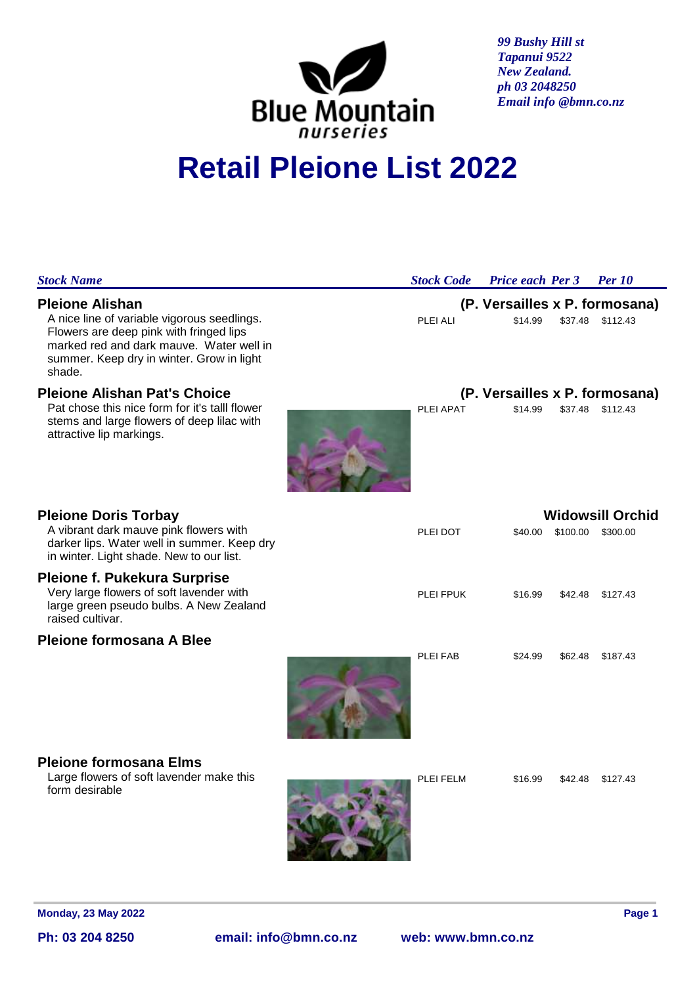

*99 Bushy Hill st Tapanui 9522 New Zealand. ph 03 2048250 Email info @bmn.co.nz*

# **Retail Pleione List 2022**

| <b>Stock Name</b>                                                                                                                                                                                                   | <b>Stock Code</b> Price each Per 3 Per 10 |                                           |                   |                  |  |
|---------------------------------------------------------------------------------------------------------------------------------------------------------------------------------------------------------------------|-------------------------------------------|-------------------------------------------|-------------------|------------------|--|
| <b>Pleione Alishan</b><br>A nice line of variable vigorous seedlings.<br>Flowers are deep pink with fringed lips<br>marked red and dark mauve. Water well in<br>summer. Keep dry in winter. Grow in light<br>shade. | PLEI ALI                                  | (P. Versailles x P. formosana)<br>\$14.99 |                   | \$37.48 \$112.43 |  |
| <b>Pleione Alishan Pat's Choice</b>                                                                                                                                                                                 |                                           | (P. Versailles x P. formosana)            |                   |                  |  |
| Pat chose this nice form for it's talll flower<br>stems and large flowers of deep lilac with<br>attractive lip markings.                                                                                            | PLEI APAT                                 | \$14.99                                   |                   | \$37.48 \$112.43 |  |
| <b>Pleione Doris Torbay</b>                                                                                                                                                                                         | <b>Widowsill Orchid</b>                   |                                           |                   |                  |  |
| A vibrant dark mauve pink flowers with<br>darker lips. Water well in summer. Keep dry<br>in winter. Light shade. New to our list.                                                                                   | PLEI DOT                                  | \$40.00                                   | \$100.00 \$300.00 |                  |  |
| <b>Pleione f. Pukekura Surprise</b><br>Very large flowers of soft lavender with<br>large green pseudo bulbs. A New Zealand<br>raised cultivar.                                                                      | PLEI FPUK                                 | \$16.99                                   | \$42.48           | \$127.43         |  |
| Pleione formosana A Blee                                                                                                                                                                                            |                                           |                                           |                   |                  |  |
|                                                                                                                                                                                                                     | PLEI FAB                                  | \$24.99                                   | \$62.48           | \$187.43         |  |
| <b>Pleione formosana Elms</b><br>Large flowers of soft lavender make this<br>form desirable                                                                                                                         | PLEI FELM                                 | \$16.99                                   | \$42.48           | \$127.43         |  |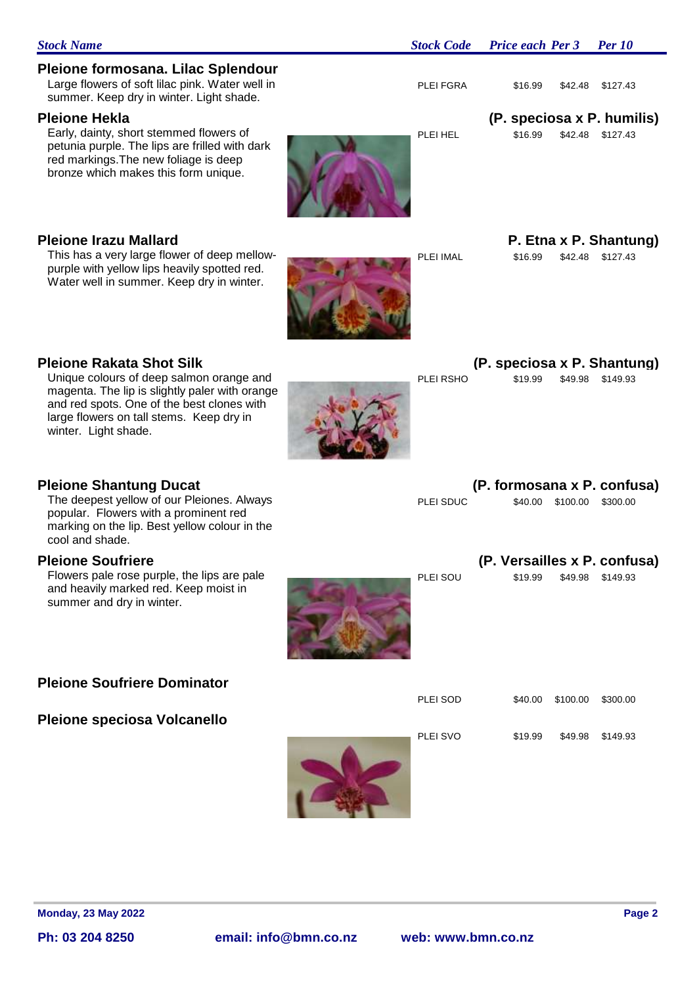| pio with yollow lipo hodylly opottod rod.<br>Water well in summer. Keep dry in winter.                                                                                                                                                          |           |         |                           |                                                  |
|-------------------------------------------------------------------------------------------------------------------------------------------------------------------------------------------------------------------------------------------------|-----------|---------|---------------------------|--------------------------------------------------|
| <b>Pleione Rakata Shot Silk</b><br>Unique colours of deep salmon orange and<br>magenta. The lip is slightly paler with orange<br>and red spots. One of the best clones with<br>large flowers on tall stems. Keep dry in<br>winter. Light shade. | PLEI RSHO | \$19.99 | \$49.98                   | (P. speciosa x P. Shantung)<br>\$149.93          |
| <b>Pleione Shantung Ducat</b><br>The deepest yellow of our Pleiones. Always<br>popular. Flowers with a prominent red<br>marking on the lip. Best yellow colour in the<br>cool and shade.                                                        | PLEI SDUC |         | \$40.00 \$100.00 \$300.00 | (P. formosana x P. confusa)                      |
| <b>Pleione Soufriere</b><br>Flowers pale rose purple, the lips are pale<br>and heavily marked red. Keep moist in<br>summer and dry in winter.                                                                                                   | PLEI SOU  | \$19.99 |                           | (P. Versailles x P. confusa)<br>\$49.98 \$149.93 |
| <b>Pleione Soufriere Dominator</b>                                                                                                                                                                                                              |           |         |                           |                                                  |
| <b>Pleione speciosa Volcanello</b>                                                                                                                                                                                                              | PLEI SOD  | \$40.00 | \$100.00                  | \$300.00                                         |
|                                                                                                                                                                                                                                                 | PLEI SVO  | \$19.99 | \$49.98                   | \$149.93                                         |
| <b>Monday, 23 May 2022</b>                                                                                                                                                                                                                      |           |         |                           | Page 2                                           |

This has a very large flower of deep mellowpurple with yellow lips heavily spotted red.

Large flowers of soft lilac pink. Water well in summer. Keep dry in winter. Light shade.

**Pleione formosana. Lilac Splendour**

Early, dainty, short stemmed flowers of petunia purple. The lips are frilled with dark red markings.The new foliage is deep bronze which makes this form unique.

**Ph: 03 204 8250 email: info@bmn.co.nz web: www.bmn.co.nz**

*Stock Name Stock Code Price each Per 3 Per 10*

### PLEI FGRA \$16.99 \$42.48 \$127.43

### **Pleione Hekla (P. speciosa x P. humilis)**

PLEI HEL \$16.99 \$42.48 \$127.43

**Pleione Irazu Mallard P. Etna x P. Shantung)**

PLEI IMAL \$16.99 \$42.48 \$127.43